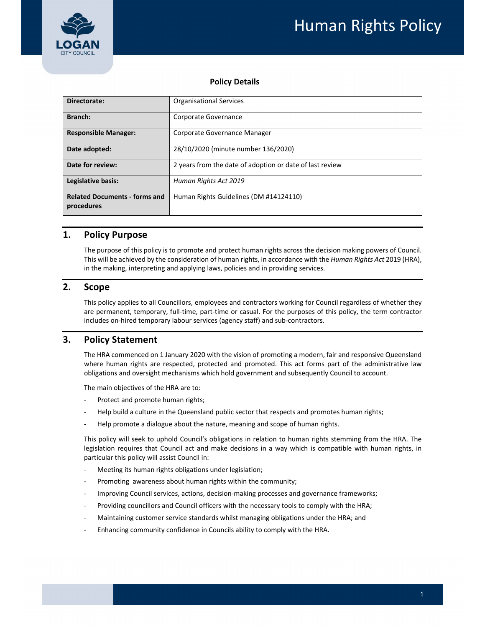

### **Policy Details**

| Directorate:                                       | <b>Organisational Services</b>                           |  |  |
|----------------------------------------------------|----------------------------------------------------------|--|--|
| Branch:                                            | Corporate Governance                                     |  |  |
| <b>Responsible Manager:</b>                        | Corporate Governance Manager                             |  |  |
| Date adopted:                                      | 28/10/2020 (minute number 136/2020)                      |  |  |
| Date for review:                                   | 2 years from the date of adoption or date of last review |  |  |
| Legislative basis:                                 | Human Rights Act 2019                                    |  |  |
| <b>Related Documents - forms and</b><br>procedures | Human Rights Guidelines (DM #14124110)                   |  |  |

## **1. Policy Purpose**

 The purpose of this policy is to promote and protect human rights across the decision making powers of Council.  This will be achieved by the consideration of human rights, in accordance with the *Human Rights Act* 2019 (HRA), in the making, interpreting and applying laws, policies and in providing services.

### **2. Scope**

 This policy applies to all Councillors, employees and contractors working for Council regardless of whether they are permanent, temporary, full‐time, part‐time or casual. For the purposes of this policy, the term contractor includes on‐hired temporary labour services (agency staff) and sub‐contractors.

# **3. Policy Statement**

 The HRA commenced on 1 January 2020 with the vision of promoting a modern, fair and responsive Queensland where human rights are respected, protected and promoted. This act forms part of the administrative law obligations and oversight mechanisms which hold government and subsequently Council to account.

The main objectives of the HRA are to:

- ‐ Protect and promote human rights;
- ‐ Help build a culture in the Queensland public sector that respects and promotes human rights;
- ‐ Help promote a dialogue about the nature, meaning and scope of human rights.

 This policy will seek to uphold Council's obligations in relation to human rights stemming from the HRA. The legislation requires that Council act and make decisions in a way which is compatible with human rights, in particular this policy will assist Council in:

- ‐ Meeting its human rights obligations under legislation;
- ‐ Promoting awareness about human rights within the community;
- ‐ Improving Council services, actions, decision‐making processes and governance frameworks;
- ‐ Providing councillors and Council officers with the necessary tools to comply with the HRA;
- ‐ Maintaining customer service standards whilst managing obligations under the HRA; and
- ‐ Enhancing community confidence in Councils ability to comply with the HRA.